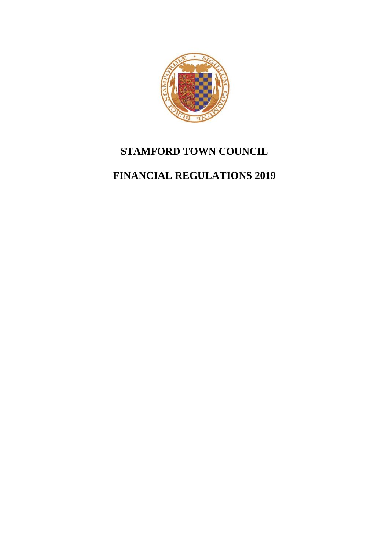

# **STAMFORD TOWN COUNCIL**

# **FINANCIAL REGULATIONS 2019**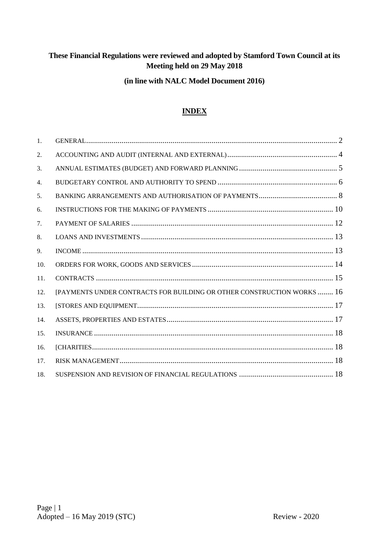# **These Financial Regulations were reviewed and adopted by Stamford Town Council at its Meeting held on 29 May 2018**

# **(in line with NALC Model Document 2016)**

# **INDEX**

| 1.  |                                                                        |
|-----|------------------------------------------------------------------------|
| 2.  |                                                                        |
| 3.  |                                                                        |
| 4.  |                                                                        |
| 5.  |                                                                        |
| 6.  |                                                                        |
| 7.  |                                                                        |
| 8.  |                                                                        |
| 9.  |                                                                        |
| 10. |                                                                        |
| 11. |                                                                        |
| 12. | [PAYMENTS UNDER CONTRACTS FOR BUILDING OR OTHER CONSTRUCTION WORKS  16 |
| 13. |                                                                        |
| 14. |                                                                        |
| 15. |                                                                        |
| 16. |                                                                        |
| 17. |                                                                        |
| 18. |                                                                        |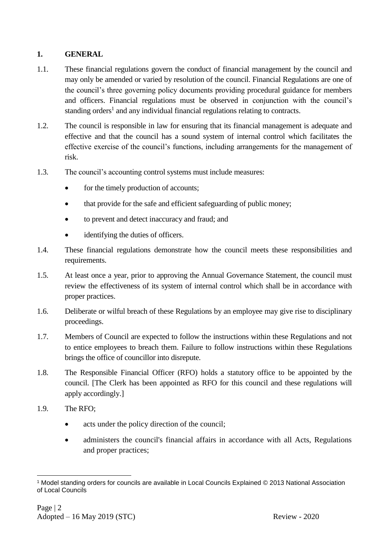# <span id="page-3-0"></span>**1. GENERAL**

- 1.1. These financial regulations govern the conduct of financial management by the council and may only be amended or varied by resolution of the council. Financial Regulations are one of the council's three governing policy documents providing procedural guidance for members and officers. Financial regulations must be observed in conjunction with the council's standing orders<sup>1</sup> and any individual financial regulations relating to contracts.
- 1.2. The council is responsible in law for ensuring that its financial management is adequate and effective and that the council has a sound system of internal control which facilitates the effective exercise of the council's functions, including arrangements for the management of risk.
- 1.3. The council's accounting control systems must include measures:
	- for the timely production of accounts;
	- that provide for the safe and efficient safeguarding of public money;
	- to prevent and detect inaccuracy and fraud; and
	- identifying the duties of officers.
- 1.4. These financial regulations demonstrate how the council meets these responsibilities and requirements.
- 1.5. At least once a year, prior to approving the Annual Governance Statement, the council must review the effectiveness of its system of internal control which shall be in accordance with proper practices.
- 1.6. Deliberate or wilful breach of these Regulations by an employee may give rise to disciplinary proceedings.
- 1.7. Members of Council are expected to follow the instructions within these Regulations and not to entice employees to breach them. Failure to follow instructions within these Regulations brings the office of councillor into disrepute.
- 1.8. The Responsible Financial Officer (RFO) holds a statutory office to be appointed by the council. [The Clerk has been appointed as RFO for this council and these regulations will apply accordingly.]
- 1.9. The RFO;
	- acts under the policy direction of the council;
	- administers the council's financial affairs in accordance with all Acts, Regulations and proper practices;

<sup>1</sup> <sup>1</sup> Model standing orders for councils are available in Local Councils Explained © 2013 National Association of Local Councils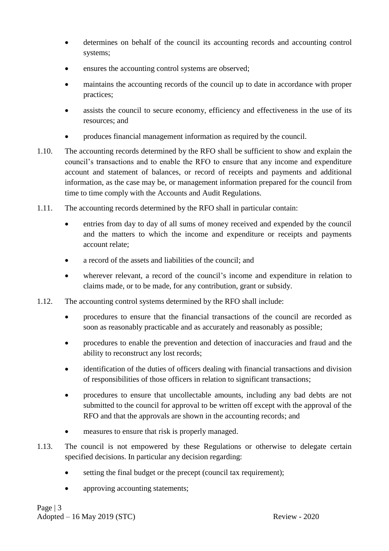- determines on behalf of the council its accounting records and accounting control systems;
- ensures the accounting control systems are observed;
- maintains the accounting records of the council up to date in accordance with proper practices;
- assists the council to secure economy, efficiency and effectiveness in the use of its resources; and
- produces financial management information as required by the council.
- 1.10. The accounting records determined by the RFO shall be sufficient to show and explain the council's transactions and to enable the RFO to ensure that any income and expenditure account and statement of balances, or record of receipts and payments and additional information, as the case may be, or management information prepared for the council from time to time comply with the Accounts and Audit Regulations.
- 1.11. The accounting records determined by the RFO shall in particular contain:
	- entries from day to day of all sums of money received and expended by the council and the matters to which the income and expenditure or receipts and payments account relate;
	- a record of the assets and liabilities of the council; and
	- wherever relevant, a record of the council's income and expenditure in relation to claims made, or to be made, for any contribution, grant or subsidy.
- 1.12. The accounting control systems determined by the RFO shall include:
	- procedures to ensure that the financial transactions of the council are recorded as soon as reasonably practicable and as accurately and reasonably as possible;
	- procedures to enable the prevention and detection of inaccuracies and fraud and the ability to reconstruct any lost records;
	- identification of the duties of officers dealing with financial transactions and division of responsibilities of those officers in relation to significant transactions;
	- procedures to ensure that uncollectable amounts, including any bad debts are not submitted to the council for approval to be written off except with the approval of the RFO and that the approvals are shown in the accounting records; and
	- measures to ensure that risk is properly managed.
- 1.13. The council is not empowered by these Regulations or otherwise to delegate certain specified decisions. In particular any decision regarding:
	- setting the final budget or the precept (council tax requirement);
	- approving accounting statements;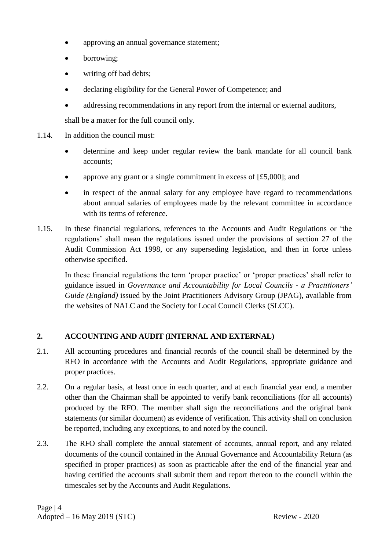- approving an annual governance statement;
- borrowing;
- writing off bad debts;
- declaring eligibility for the General Power of Competence; and
- addressing recommendations in any report from the internal or external auditors,

shall be a matter for the full council only.

- 1.14. In addition the council must:
	- determine and keep under regular review the bank mandate for all council bank accounts;
	- approve any grant or a single commitment in excess of  $[£5,000]$ ; and
	- in respect of the annual salary for any employee have regard to recommendations about annual salaries of employees made by the relevant committee in accordance with its terms of reference.
- 1.15. In these financial regulations, references to the Accounts and Audit Regulations or 'the regulations' shall mean the regulations issued under the provisions of section 27 of the Audit Commission Act 1998, or any superseding legislation, and then in force unless otherwise specified.

In these financial regulations the term 'proper practice' or 'proper practices' shall refer to guidance issued in *Governance and Accountability for Local Councils - a Practitioners' Guide (England)* issued by the Joint Practitioners Advisory Group (JPAG), available from the websites of NALC and the Society for Local Council Clerks (SLCC).

# <span id="page-5-0"></span>**2. ACCOUNTING AND AUDIT (INTERNAL AND EXTERNAL)**

- 2.1. All accounting procedures and financial records of the council shall be determined by the RFO in accordance with the Accounts and Audit Regulations, appropriate guidance and proper practices.
- 2.2. On a regular basis, at least once in each quarter, and at each financial year end, a member other than the Chairman shall be appointed to verify bank reconciliations (for all accounts) produced by the RFO. The member shall sign the reconciliations and the original bank statements (or similar document) as evidence of verification. This activity shall on conclusion be reported, including any exceptions, to and noted by the council.
- 2.3. The RFO shall complete the annual statement of accounts, annual report, and any related documents of the council contained in the Annual Governance and Accountability Return (as specified in proper practices) as soon as practicable after the end of the financial year and having certified the accounts shall submit them and report thereon to the council within the timescales set by the Accounts and Audit Regulations.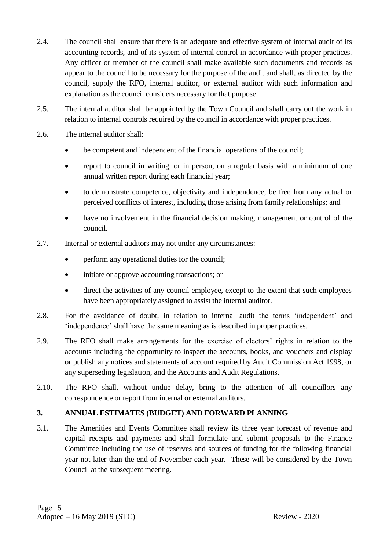- 2.4. The council shall ensure that there is an adequate and effective system of internal audit of its accounting records, and of its system of internal control in accordance with proper practices. Any officer or member of the council shall make available such documents and records as appear to the council to be necessary for the purpose of the audit and shall, as directed by the council, supply the RFO, internal auditor, or external auditor with such information and explanation as the council considers necessary for that purpose.
- 2.5. The internal auditor shall be appointed by the Town Council and shall carry out the work in relation to internal controls required by the council in accordance with proper practices.
- 2.6. The internal auditor shall:
	- be competent and independent of the financial operations of the council;
	- report to council in writing, or in person, on a regular basis with a minimum of one annual written report during each financial year;
	- to demonstrate competence, objectivity and independence, be free from any actual or perceived conflicts of interest, including those arising from family relationships; and
	- have no involvement in the financial decision making, management or control of the council.
- 2.7. Internal or external auditors may not under any circumstances:
	- perform any operational duties for the council;
	- initiate or approve accounting transactions; or
	- direct the activities of any council employee, except to the extent that such employees have been appropriately assigned to assist the internal auditor.
- 2.8. For the avoidance of doubt, in relation to internal audit the terms 'independent' and 'independence' shall have the same meaning as is described in proper practices.
- 2.9. The RFO shall make arrangements for the exercise of electors' rights in relation to the accounts including the opportunity to inspect the accounts, books, and vouchers and display or publish any notices and statements of account required by Audit Commission Act 1998, or any superseding legislation, and the Accounts and Audit Regulations.
- 2.10. The RFO shall, without undue delay, bring to the attention of all councillors any correspondence or report from internal or external auditors.

# <span id="page-6-0"></span>**3. ANNUAL ESTIMATES (BUDGET) AND FORWARD PLANNING**

3.1. The Amenities and Events Committee shall review its three year forecast of revenue and capital receipts and payments and shall formulate and submit proposals to the Finance Committee including the use of reserves and sources of funding for the following financial year not later than the end of November each year. These will be considered by the Town Council at the subsequent meeting.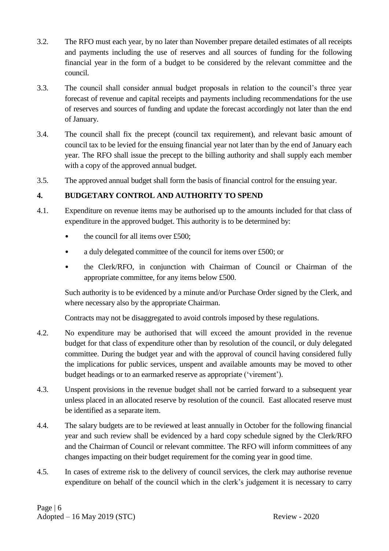- 3.2. The RFO must each year, by no later than November prepare detailed estimates of all receipts and payments including the use of reserves and all sources of funding for the following financial year in the form of a budget to be considered by the relevant committee and the council.
- 3.3. The council shall consider annual budget proposals in relation to the council's three year forecast of revenue and capital receipts and payments including recommendations for the use of reserves and sources of funding and update the forecast accordingly not later than the end of January.
- 3.4. The council shall fix the precept (council tax requirement), and relevant basic amount of council tax to be levied for the ensuing financial year not later than by the end of January each year. The RFO shall issue the precept to the billing authority and shall supply each member with a copy of the approved annual budget.
- 3.5. The approved annual budget shall form the basis of financial control for the ensuing year.

# <span id="page-7-0"></span>**4. BUDGETARY CONTROL AND AUTHORITY TO SPEND**

- 4.1. Expenditure on revenue items may be authorised up to the amounts included for that class of expenditure in the approved budget. This authority is to be determined by:
	- the council for all items over £500;
	- a duly delegated committee of the council for items over £500; or
	- the Clerk/RFO, in conjunction with Chairman of Council or Chairman of the appropriate committee, for any items below £500.

Such authority is to be evidenced by a minute and/or Purchase Order signed by the Clerk, and where necessary also by the appropriate Chairman.

Contracts may not be disaggregated to avoid controls imposed by these regulations.

- 4.2. No expenditure may be authorised that will exceed the amount provided in the revenue budget for that class of expenditure other than by resolution of the council, or duly delegated committee. During the budget year and with the approval of council having considered fully the implications for public services, unspent and available amounts may be moved to other budget headings or to an earmarked reserve as appropriate ('virement').
- 4.3. Unspent provisions in the revenue budget shall not be carried forward to a subsequent year unless placed in an allocated reserve by resolution of the council. East allocated reserve must be identified as a separate item.
- 4.4. The salary budgets are to be reviewed at least annually in October for the following financial year and such review shall be evidenced by a hard copy schedule signed by the Clerk/RFO and the Chairman of Council or relevant committee. The RFO will inform committees of any changes impacting on their budget requirement for the coming year in good time.
- 4.5. In cases of extreme risk to the delivery of council services, the clerk may authorise revenue expenditure on behalf of the council which in the clerk's judgement it is necessary to carry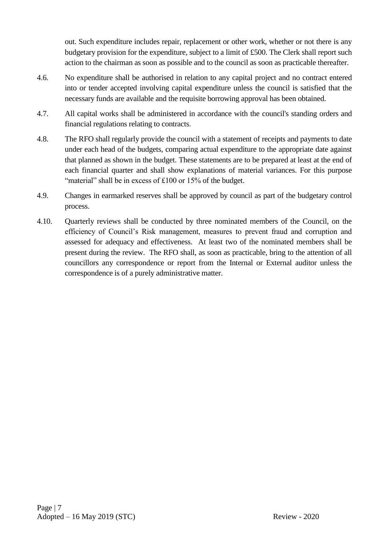out. Such expenditure includes repair, replacement or other work, whether or not there is any budgetary provision for the expenditure, subject to a limit of £500. The Clerk shall report such action to the chairman as soon as possible and to the council as soon as practicable thereafter.

- 4.6. No expenditure shall be authorised in relation to any capital project and no contract entered into or tender accepted involving capital expenditure unless the council is satisfied that the necessary funds are available and the requisite borrowing approval has been obtained.
- 4.7. All capital works shall be administered in accordance with the council's standing orders and financial regulations relating to contracts.
- 4.8. The RFO shall regularly provide the council with a statement of receipts and payments to date under each head of the budgets, comparing actual expenditure to the appropriate date against that planned as shown in the budget. These statements are to be prepared at least at the end of each financial quarter and shall show explanations of material variances. For this purpose "material" shall be in excess of £100 or 15% of the budget.
- 4.9. Changes in earmarked reserves shall be approved by council as part of the budgetary control process.
- 4.10. Quarterly reviews shall be conducted by three nominated members of the Council, on the efficiency of Council's Risk management, measures to prevent fraud and corruption and assessed for adequacy and effectiveness. At least two of the nominated members shall be present during the review. The RFO shall, as soon as practicable, bring to the attention of all councillors any correspondence or report from the Internal or External auditor unless the correspondence is of a purely administrative matter.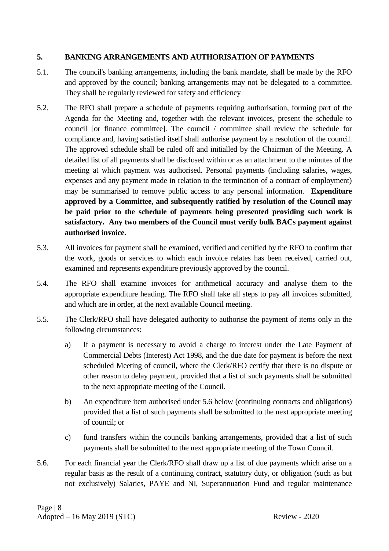# <span id="page-9-0"></span>**5. BANKING ARRANGEMENTS AND AUTHORISATION OF PAYMENTS**

- 5.1. The council's banking arrangements, including the bank mandate, shall be made by the RFO and approved by the council; banking arrangements may not be delegated to a committee. They shall be regularly reviewed for safety and efficiency
- 5.2. The RFO shall prepare a schedule of payments requiring authorisation, forming part of the Agenda for the Meeting and, together with the relevant invoices, present the schedule to council [or finance committee]. The council / committee shall review the schedule for compliance and, having satisfied itself shall authorise payment by a resolution of the council. The approved schedule shall be ruled off and initialled by the Chairman of the Meeting. A detailed list of all payments shall be disclosed within or as an attachment to the minutes of the meeting at which payment was authorised. Personal payments (including salaries, wages, expenses and any payment made in relation to the termination of a contract of employment) may be summarised to remove public access to any personal information. **Expenditure approved by a Committee, and subsequently ratified by resolution of the Council may be paid prior to the schedule of payments being presented providing such work is satisfactory. Any two members of the Council must verify bulk BACs payment against authorised invoice.**
- 5.3. All invoices for payment shall be examined, verified and certified by the RFO to confirm that the work, goods or services to which each invoice relates has been received, carried out, examined and represents expenditure previously approved by the council.
- 5.4. The RFO shall examine invoices for arithmetical accuracy and analyse them to the appropriate expenditure heading. The RFO shall take all steps to pay all invoices submitted, and which are in order, at the next available Council meeting.
- 5.5. The Clerk/RFO shall have delegated authority to authorise the payment of items only in the following circumstances:
	- a) If a payment is necessary to avoid a charge to interest under the Late Payment of Commercial Debts (Interest) Act 1998, and the due date for payment is before the next scheduled Meeting of council, where the Clerk/RFO certify that there is no dispute or other reason to delay payment, provided that a list of such payments shall be submitted to the next appropriate meeting of the Council.
	- b) An expenditure item authorised under 5.6 below (continuing contracts and obligations) provided that a list of such payments shall be submitted to the next appropriate meeting of council; or
	- c) fund transfers within the councils banking arrangements, provided that a list of such payments shall be submitted to the next appropriate meeting of the Town Council.
- 5.6. For each financial year the Clerk/RFO shall draw up a list of due payments which arise on a regular basis as the result of a continuing contract, statutory duty, or obligation (such as but not exclusively) Salaries, PAYE and NI, Superannuation Fund and regular maintenance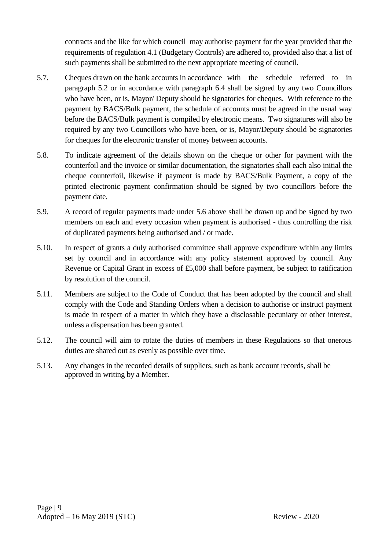contracts and the like for which council may authorise payment for the year provided that the requirements of regulation 4.1 (Budgetary Controls) are adhered to, provided also that a list of such payments shall be submitted to the next appropriate meeting of council.

- 5.7. Cheques drawn on the bank accounts in accordance with the schedule referred to in paragraph 5.2 or in accordance with paragraph 6.4 shall be signed by any two Councillors who have been, or is, Mayor/ Deputy should be signatories for cheques. With reference to the payment by BACS/Bulk payment, the schedule of accounts must be agreed in the usual way before the BACS/Bulk payment is compiled by electronic means. Two signatures will also be required by any two Councillors who have been, or is, Mayor/Deputy should be signatories for cheques for the electronic transfer of money between accounts.
- 5.8. To indicate agreement of the details shown on the cheque or other for payment with the counterfoil and the invoice or similar documentation, the signatories shall each also initial the cheque counterfoil, likewise if payment is made by BACS/Bulk Payment, a copy of the printed electronic payment confirmation should be signed by two councillors before the payment date.
- 5.9. A record of regular payments made under 5.6 above shall be drawn up and be signed by two members on each and every occasion when payment is authorised - thus controlling the risk of duplicated payments being authorised and / or made.
- 5.10. In respect of grants a duly authorised committee shall approve expenditure within any limits set by council and in accordance with any policy statement approved by council. Any Revenue or Capital Grant in excess of £5,000 shall before payment, be subject to ratification by resolution of the council.
- 5.11. Members are subject to the Code of Conduct that has been adopted by the council and shall comply with the Code and Standing Orders when a decision to authorise or instruct payment is made in respect of a matter in which they have a disclosable pecuniary or other interest, unless a dispensation has been granted.
- 5.12. The council will aim to rotate the duties of members in these Regulations so that onerous duties are shared out as evenly as possible over time.
- 5.13. Any changes in the recorded details of suppliers, such as bank account records, shall be approved in writing by a Member.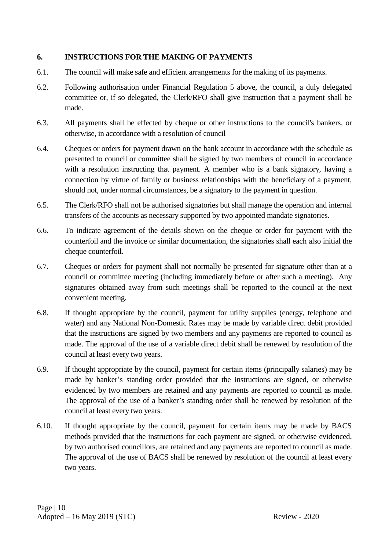# <span id="page-11-0"></span>**6. INSTRUCTIONS FOR THE MAKING OF PAYMENTS**

- 6.1. The council will make safe and efficient arrangements for the making of its payments.
- 6.2. Following authorisation under Financial Regulation 5 above, the council, a duly delegated committee or, if so delegated, the Clerk/RFO shall give instruction that a payment shall be made.
- 6.3. All payments shall be effected by cheque or other instructions to the council's bankers, or otherwise, in accordance with a resolution of council
- 6.4. Cheques or orders for payment drawn on the bank account in accordance with the schedule as presented to council or committee shall be signed by two members of council in accordance with a resolution instructing that payment. A member who is a bank signatory, having a connection by virtue of family or business relationships with the beneficiary of a payment, should not, under normal circumstances, be a signatory to the payment in question.
- 6.5. The Clerk/RFO shall not be authorised signatories but shall manage the operation and internal transfers of the accounts as necessary supported by two appointed mandate signatories.
- 6.6. To indicate agreement of the details shown on the cheque or order for payment with the counterfoil and the invoice or similar documentation, the signatories shall each also initial the cheque counterfoil.
- 6.7. Cheques or orders for payment shall not normally be presented for signature other than at a council or committee meeting (including immediately before or after such a meeting). Any signatures obtained away from such meetings shall be reported to the council at the next convenient meeting.
- 6.8. If thought appropriate by the council, payment for utility supplies (energy, telephone and water) and any National Non-Domestic Rates may be made by variable direct debit provided that the instructions are signed by two members and any payments are reported to council as made. The approval of the use of a variable direct debit shall be renewed by resolution of the council at least every two years.
- 6.9. If thought appropriate by the council, payment for certain items (principally salaries) may be made by banker's standing order provided that the instructions are signed, or otherwise evidenced by two members are retained and any payments are reported to council as made. The approval of the use of a banker's standing order shall be renewed by resolution of the council at least every two years.
- 6.10. If thought appropriate by the council, payment for certain items may be made by BACS methods provided that the instructions for each payment are signed, or otherwise evidenced, by two authorised councillors, are retained and any payments are reported to council as made. The approval of the use of BACS shall be renewed by resolution of the council at least every two years.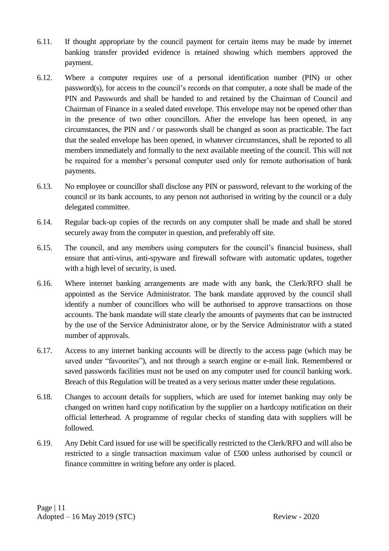- 6.11. If thought appropriate by the council payment for certain items may be made by internet banking transfer provided evidence is retained showing which members approved the payment.
- 6.12. Where a computer requires use of a personal identification number (PIN) or other password(s), for access to the council's records on that computer, a note shall be made of the PIN and Passwords and shall be handed to and retained by the Chairman of Council and Chairman of Finance in a sealed dated envelope. This envelope may not be opened other than in the presence of two other councillors. After the envelope has been opened, in any circumstances, the PIN and / or passwords shall be changed as soon as practicable. The fact that the sealed envelope has been opened, in whatever circumstances, shall be reported to all members immediately and formally to the next available meeting of the council. This will not be required for a member's personal computer used only for remote authorisation of bank payments.
- 6.13. No employee or councillor shall disclose any PIN or password, relevant to the working of the council or its bank accounts, to any person not authorised in writing by the council or a duly delegated committee.
- 6.14. Regular back-up copies of the records on any computer shall be made and shall be stored securely away from the computer in question, and preferably off site.
- 6.15. The council, and any members using computers for the council's financial business, shall ensure that anti-virus, anti-spyware and firewall software with automatic updates, together with a high level of security, is used.
- 6.16. Where internet banking arrangements are made with any bank, the Clerk/RFO shall be appointed as the Service Administrator. The bank mandate approved by the council shall identify a number of councillors who will be authorised to approve transactions on those accounts. The bank mandate will state clearly the amounts of payments that can be instructed by the use of the Service Administrator alone, or by the Service Administrator with a stated number of approvals.
- 6.17. Access to any internet banking accounts will be directly to the access page (which may be saved under "favourites"), and not through a search engine or e-mail link. Remembered or saved passwords facilities must not be used on any computer used for council banking work. Breach of this Regulation will be treated as a very serious matter under these regulations.
- 6.18. Changes to account details for suppliers, which are used for internet banking may only be changed on written hard copy notification by the supplier on a hardcopy notification on their official letterhead. A programme of regular checks of standing data with suppliers will be followed.
- 6.19. Any Debit Card issued for use will be specifically restricted to the Clerk/RFO and will also be restricted to a single transaction maximum value of £500 unless authorised by council or finance committee in writing before any order is placed.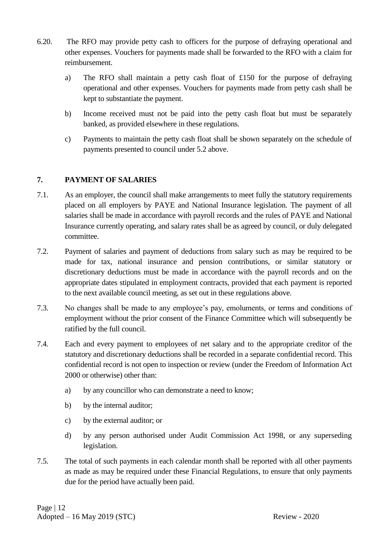- 6.20. The RFO may provide petty cash to officers for the purpose of defraying operational and other expenses. Vouchers for payments made shall be forwarded to the RFO with a claim for reimbursement.
	- a) The RFO shall maintain a petty cash float of £150 for the purpose of defraying operational and other expenses. Vouchers for payments made from petty cash shall be kept to substantiate the payment.
	- b) Income received must not be paid into the petty cash float but must be separately banked, as provided elsewhere in these regulations.
	- c) Payments to maintain the petty cash float shall be shown separately on the schedule of payments presented to council under 5.2 above.

# <span id="page-13-0"></span>**7. PAYMENT OF SALARIES**

- 7.1. As an employer, the council shall make arrangements to meet fully the statutory requirements placed on all employers by PAYE and National Insurance legislation. The payment of all salaries shall be made in accordance with payroll records and the rules of PAYE and National Insurance currently operating, and salary rates shall be as agreed by council, or duly delegated committee.
- 7.2. Payment of salaries and payment of deductions from salary such as may be required to be made for tax, national insurance and pension contributions, or similar statutory or discretionary deductions must be made in accordance with the payroll records and on the appropriate dates stipulated in employment contracts, provided that each payment is reported to the next available council meeting, as set out in these regulations above.
- 7.3. No changes shall be made to any employee's pay, emoluments, or terms and conditions of employment without the prior consent of the Finance Committee which will subsequently be ratified by the full council.
- 7.4. Each and every payment to employees of net salary and to the appropriate creditor of the statutory and discretionary deductions shall be recorded in a separate confidential record. This confidential record is not open to inspection or review (under the Freedom of Information Act 2000 or otherwise) other than:
	- a) by any councillor who can demonstrate a need to know;
	- b) by the internal auditor:
	- c) by the external auditor; or
	- d) by any person authorised under Audit Commission Act 1998, or any superseding legislation.
- 7.5. The total of such payments in each calendar month shall be reported with all other payments as made as may be required under these Financial Regulations, to ensure that only payments due for the period have actually been paid.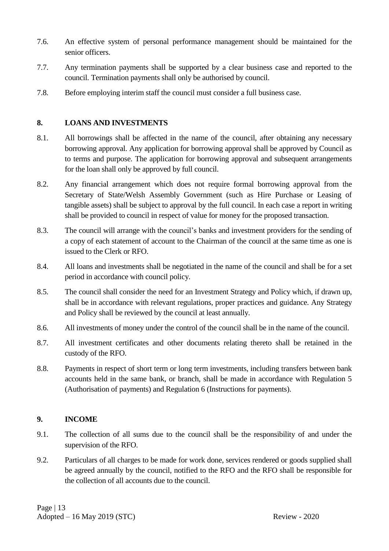- 7.6. An effective system of personal performance management should be maintained for the senior officers.
- 7.7. Any termination payments shall be supported by a clear business case and reported to the council. Termination payments shall only be authorised by council.
- 7.8. Before employing interim staff the council must consider a full business case.

# <span id="page-14-0"></span>**8. LOANS AND INVESTMENTS**

- 8.1. All borrowings shall be affected in the name of the council, after obtaining any necessary borrowing approval. Any application for borrowing approval shall be approved by Council as to terms and purpose. The application for borrowing approval and subsequent arrangements for the loan shall only be approved by full council.
- 8.2. Any financial arrangement which does not require formal borrowing approval from the Secretary of State/Welsh Assembly Government (such as Hire Purchase or Leasing of tangible assets) shall be subject to approval by the full council. In each case a report in writing shall be provided to council in respect of value for money for the proposed transaction.
- 8.3. The council will arrange with the council's banks and investment providers for the sending of a copy of each statement of account to the Chairman of the council at the same time as one is issued to the Clerk or RFO.
- 8.4. All loans and investments shall be negotiated in the name of the council and shall be for a set period in accordance with council policy.
- 8.5. The council shall consider the need for an Investment Strategy and Policy which, if drawn up, shall be in accordance with relevant regulations, proper practices and guidance. Any Strategy and Policy shall be reviewed by the council at least annually.
- 8.6. All investments of money under the control of the council shall be in the name of the council.
- 8.7. All investment certificates and other documents relating thereto shall be retained in the custody of the RFO.
- 8.8. Payments in respect of short term or long term investments, including transfers between bank accounts held in the same bank, or branch, shall be made in accordance with Regulation 5 (Authorisation of payments) and Regulation 6 (Instructions for payments).

# <span id="page-14-1"></span>**9. INCOME**

- 9.1. The collection of all sums due to the council shall be the responsibility of and under the supervision of the RFO.
- 9.2. Particulars of all charges to be made for work done, services rendered or goods supplied shall be agreed annually by the council, notified to the RFO and the RFO shall be responsible for the collection of all accounts due to the council.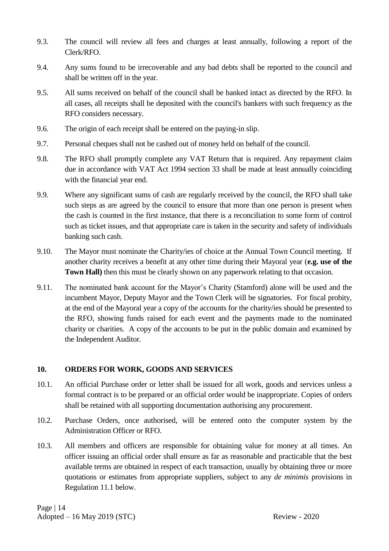- 9.3. The council will review all fees and charges at least annually, following a report of the Clerk/RFO.
- 9.4. Any sums found to be irrecoverable and any bad debts shall be reported to the council and shall be written off in the year.
- 9.5. All sums received on behalf of the council shall be banked intact as directed by the RFO. In all cases, all receipts shall be deposited with the council's bankers with such frequency as the RFO considers necessary.
- 9.6. The origin of each receipt shall be entered on the paying-in slip.
- 9.7. Personal cheques shall not be cashed out of money held on behalf of the council.
- 9.8. The RFO shall promptly complete any VAT Return that is required. Any repayment claim due in accordance with VAT Act 1994 section 33 shall be made at least annually coinciding with the financial year end.
- 9.9. Where any significant sums of cash are regularly received by the council, the RFO shall take such steps as are agreed by the council to ensure that more than one person is present when the cash is counted in the first instance, that there is a reconciliation to some form of control such as ticket issues, and that appropriate care is taken in the security and safety of individuals banking such cash.
- 9.10. The Mayor must nominate the Charity/ies of choice at the Annual Town Council meeting. If another charity receives a benefit at any other time during their Mayoral year (**e.g. use of the Town Hall)** then this must be clearly shown on any paperwork relating to that occasion.
- 9.11. The nominated bank account for the Mayor's Charity (Stamford) alone will be used and the incumbent Mayor, Deputy Mayor and the Town Clerk will be signatories. For fiscal probity, at the end of the Mayoral year a copy of the accounts for the charity/ies should be presented to the RFO, showing funds raised for each event and the payments made to the nominated charity or charities. A copy of the accounts to be put in the public domain and examined by the Independent Auditor.

# <span id="page-15-0"></span>**10. ORDERS FOR WORK, GOODS AND SERVICES**

- 10.1. An official Purchase order or letter shall be issued for all work, goods and services unless a formal contract is to be prepared or an official order would be inappropriate. Copies of orders shall be retained with all supporting documentation authorising any procurement.
- 10.2. Purchase Orders, once authorised, will be entered onto the computer system by the Administration Officer or RFO.
- 10.3. All members and officers are responsible for obtaining value for money at all times. An officer issuing an official order shall ensure as far as reasonable and practicable that the best available terms are obtained in respect of each transaction, usually by obtaining three or more quotations or estimates from appropriate suppliers, subject to any *de minimis* provisions in Regulation 11.1 below.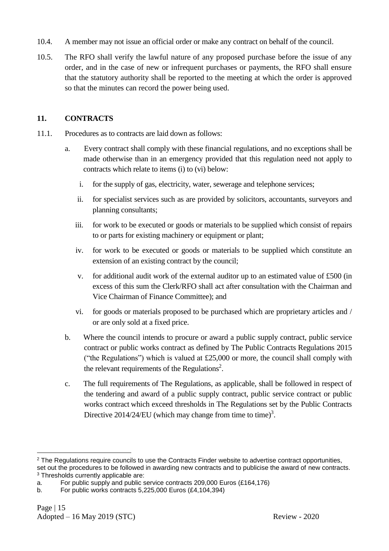- 10.4. A member may not issue an official order or make any contract on behalf of the council.
- 10.5. The RFO shall verify the lawful nature of any proposed purchase before the issue of any order, and in the case of new or infrequent purchases or payments, the RFO shall ensure that the statutory authority shall be reported to the meeting at which the order is approved so that the minutes can record the power being used.

# <span id="page-16-0"></span>**11. CONTRACTS**

- 11.1. Procedures as to contracts are laid down as follows:
	- a. Every contract shall comply with these financial regulations, and no exceptions shall be made otherwise than in an emergency provided that this regulation need not apply to contracts which relate to items (i) to (vi) below:
		- i. for the supply of gas, electricity, water, sewerage and telephone services;
		- ii. for specialist services such as are provided by solicitors, accountants, surveyors and planning consultants;
		- iii. for work to be executed or goods or materials to be supplied which consist of repairs to or parts for existing machinery or equipment or plant;
		- iv. for work to be executed or goods or materials to be supplied which constitute an extension of an existing contract by the council;
		- v. for additional audit work of the external auditor up to an estimated value of £500 (in excess of this sum the Clerk/RFO shall act after consultation with the Chairman and Vice Chairman of Finance Committee); and
		- vi. for goods or materials proposed to be purchased which are proprietary articles and / or are only sold at a fixed price.
	- b. Where the council intends to procure or award a public supply contract, public service contract or public works contract as defined by The Public Contracts Regulations 2015 ("the Regulations") which is valued at  $£25,000$  or more, the council shall comply with the relevant requirements of the Regulations<sup>2</sup>.
	- c. The full requirements of The Regulations, as applicable, shall be followed in respect of the tendering and award of a public supply contract, public service contract or public works contract which exceed thresholds in The Regulations set by the Public Contracts Directive 2014/24/EU (which may change from time to time)<sup>3</sup>.

1

<sup>&</sup>lt;sup>2</sup> The Regulations require councils to use the Contracts Finder website to advertise contract opportunities, set out the procedures to be followed in awarding new contracts and to publicise the award of new contracts. <sup>3</sup> Thresholds currently applicable are:

a. For public supply and public service contracts 209,000 Euros (£164,176)

b. For public works contracts 5,225,000 Euros (£4,104,394)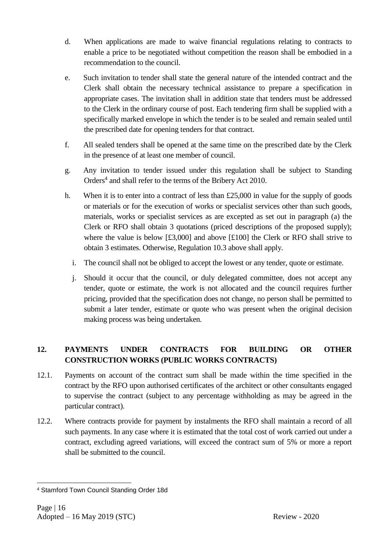- d. When applications are made to waive financial regulations relating to contracts to enable a price to be negotiated without competition the reason shall be embodied in a recommendation to the council.
- e. Such invitation to tender shall state the general nature of the intended contract and the Clerk shall obtain the necessary technical assistance to prepare a specification in appropriate cases. The invitation shall in addition state that tenders must be addressed to the Clerk in the ordinary course of post. Each tendering firm shall be supplied with a specifically marked envelope in which the tender is to be sealed and remain sealed until the prescribed date for opening tenders for that contract.
- f. All sealed tenders shall be opened at the same time on the prescribed date by the Clerk in the presence of at least one member of council.
- g. Any invitation to tender issued under this regulation shall be subject to Standing Orders 4 and shall refer to the terms of the Bribery Act 2010.
- h. When it is to enter into a contract of less than  $£25,000$  in value for the supply of goods or materials or for the execution of works or specialist services other than such goods, materials, works or specialist services as are excepted as set out in paragraph (a) the Clerk or RFO shall obtain 3 quotations (priced descriptions of the proposed supply); where the value is below [£3,000] and above [£100] the Clerk or RFO shall strive to obtain 3 estimates. Otherwise, Regulation 10.3 above shall apply.
	- i. The council shall not be obliged to accept the lowest or any tender, quote or estimate.
	- j. Should it occur that the council, or duly delegated committee, does not accept any tender, quote or estimate, the work is not allocated and the council requires further pricing, provided that the specification does not change, no person shall be permitted to submit a later tender, estimate or quote who was present when the original decision making process was being undertaken.

# <span id="page-17-0"></span>**12. PAYMENTS UNDER CONTRACTS FOR BUILDING OR OTHER CONSTRUCTION WORKS (PUBLIC WORKS CONTRACTS)**

- 12.1. Payments on account of the contract sum shall be made within the time specified in the contract by the RFO upon authorised certificates of the architect or other consultants engaged to supervise the contract (subject to any percentage withholding as may be agreed in the particular contract).
- 12.2. Where contracts provide for payment by instalments the RFO shall maintain a record of all such payments. In any case where it is estimated that the total cost of work carried out under a contract, excluding agreed variations, will exceed the contract sum of 5% or more a report shall be submitted to the council.

<sup>1</sup> <sup>4</sup> Stamford Town Council Standing Order 18d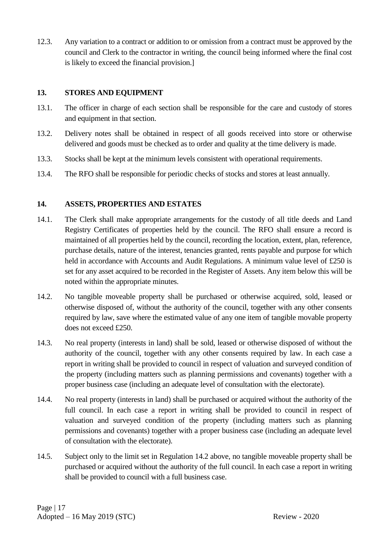12.3. Any variation to a contract or addition to or omission from a contract must be approved by the council and Clerk to the contractor in writing, the council being informed where the final cost is likely to exceed the financial provision.]

# <span id="page-18-0"></span>**13. STORES AND EQUIPMENT**

- 13.1. The officer in charge of each section shall be responsible for the care and custody of stores and equipment in that section.
- 13.2. Delivery notes shall be obtained in respect of all goods received into store or otherwise delivered and goods must be checked as to order and quality at the time delivery is made.
- 13.3. Stocks shall be kept at the minimum levels consistent with operational requirements.
- 13.4. The RFO shall be responsible for periodic checks of stocks and stores at least annually.

# <span id="page-18-1"></span>**14. ASSETS, PROPERTIES AND ESTATES**

- 14.1. The Clerk shall make appropriate arrangements for the custody of all title deeds and Land Registry Certificates of properties held by the council. The RFO shall ensure a record is maintained of all properties held by the council, recording the location, extent, plan, reference, purchase details, nature of the interest, tenancies granted, rents payable and purpose for which held in accordance with Accounts and Audit Regulations. A minimum value level of £250 is set for any asset acquired to be recorded in the Register of Assets. Any item below this will be noted within the appropriate minutes.
- 14.2. No tangible moveable property shall be purchased or otherwise acquired, sold, leased or otherwise disposed of, without the authority of the council, together with any other consents required by law, save where the estimated value of any one item of tangible movable property does not exceed £250.
- 14.3. No real property (interests in land) shall be sold, leased or otherwise disposed of without the authority of the council, together with any other consents required by law. In each case a report in writing shall be provided to council in respect of valuation and surveyed condition of the property (including matters such as planning permissions and covenants) together with a proper business case (including an adequate level of consultation with the electorate).
- 14.4. No real property (interests in land) shall be purchased or acquired without the authority of the full council. In each case a report in writing shall be provided to council in respect of valuation and surveyed condition of the property (including matters such as planning permissions and covenants) together with a proper business case (including an adequate level of consultation with the electorate).
- 14.5. Subject only to the limit set in Regulation 14.2 above, no tangible moveable property shall be purchased or acquired without the authority of the full council. In each case a report in writing shall be provided to council with a full business case.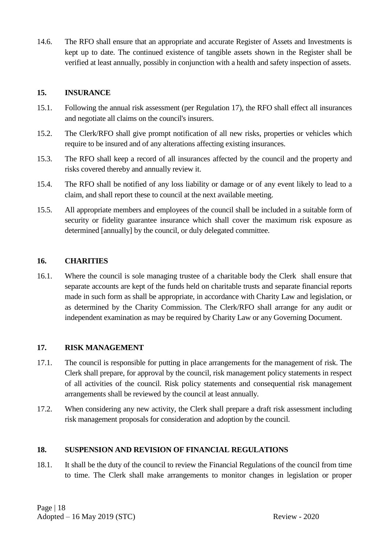14.6. The RFO shall ensure that an appropriate and accurate Register of Assets and Investments is kept up to date. The continued existence of tangible assets shown in the Register shall be verified at least annually, possibly in conjunction with a health and safety inspection of assets.

# <span id="page-19-0"></span>**15. INSURANCE**

- 15.1. Following the annual risk assessment (per Regulation 17), the RFO shall effect all insurances and negotiate all claims on the council's insurers.
- 15.2. The Clerk/RFO shall give prompt notification of all new risks, properties or vehicles which require to be insured and of any alterations affecting existing insurances.
- 15.3. The RFO shall keep a record of all insurances affected by the council and the property and risks covered thereby and annually review it.
- 15.4. The RFO shall be notified of any loss liability or damage or of any event likely to lead to a claim, and shall report these to council at the next available meeting.
- 15.5. All appropriate members and employees of the council shall be included in a suitable form of security or fidelity guarantee insurance which shall cover the maximum risk exposure as determined [annually] by the council, or duly delegated committee.

# <span id="page-19-1"></span>**16. CHARITIES**

16.1. Where the council is sole managing trustee of a charitable body the Clerk shall ensure that separate accounts are kept of the funds held on charitable trusts and separate financial reports made in such form as shall be appropriate, in accordance with Charity Law and legislation, or as determined by the Charity Commission. The Clerk/RFO shall arrange for any audit or independent examination as may be required by Charity Law or any Governing Document.

# <span id="page-19-2"></span>**17. RISK MANAGEMENT**

- 17.1. The council is responsible for putting in place arrangements for the management of risk. The Clerk shall prepare, for approval by the council, risk management policy statements in respect of all activities of the council. Risk policy statements and consequential risk management arrangements shall be reviewed by the council at least annually.
- 17.2. When considering any new activity, the Clerk shall prepare a draft risk assessment including risk management proposals for consideration and adoption by the council.

# <span id="page-19-3"></span>**18. SUSPENSION AND REVISION OF FINANCIAL REGULATIONS**

18.1. It shall be the duty of the council to review the Financial Regulations of the council from time to time. The Clerk shall make arrangements to monitor changes in legislation or proper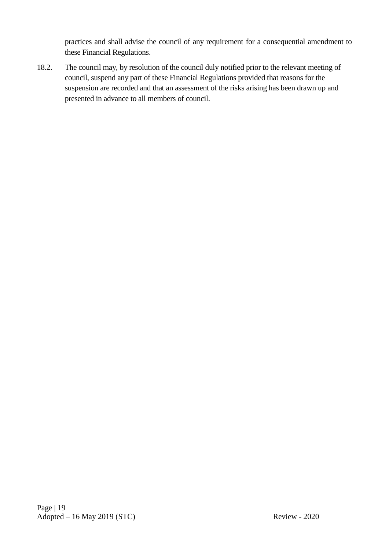practices and shall advise the council of any requirement for a consequential amendment to these Financial Regulations.

18.2. The council may, by resolution of the council duly notified prior to the relevant meeting of council, suspend any part of these Financial Regulations provided that reasons for the suspension are recorded and that an assessment of the risks arising has been drawn up and presented in advance to all members of council.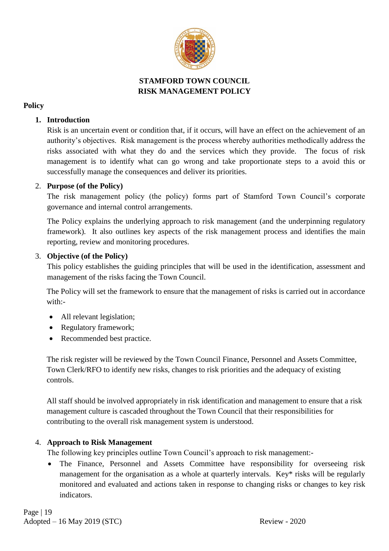

# **STAMFORD TOWN COUNCIL RISK MANAGEMENT POLICY**

# **Policy**

# **1. Introduction**

Risk is an uncertain event or condition that, if it occurs, will have an effect on the achievement of an authority's objectives. Risk management is the process whereby authorities methodically address the risks associated with what they do and the services which they provide. The focus of risk management is to identify what can go wrong and take proportionate steps to a avoid this or successfully manage the consequences and deliver its priorities.

# 2. **Purpose (of the Policy)**

The risk management policy (the policy) forms part of Stamford Town Council's corporate governance and internal control arrangements.

The Policy explains the underlying approach to risk management (and the underpinning regulatory framework). It also outlines key aspects of the risk management process and identifies the main reporting, review and monitoring procedures.

# 3. **Objective (of the Policy)**

This policy establishes the guiding principles that will be used in the identification, assessment and management of the risks facing the Town Council.

The Policy will set the framework to ensure that the management of risks is carried out in accordance with:-

- All relevant legislation;
- Regulatory framework;
- Recommended best practice.

The risk register will be reviewed by the Town Council Finance, Personnel and Assets Committee, Town Clerk/RFO to identify new risks, changes to risk priorities and the adequacy of existing controls.

All staff should be involved appropriately in risk identification and management to ensure that a risk management culture is cascaded throughout the Town Council that their responsibilities for contributing to the overall risk management system is understood.

# 4. **Approach to Risk Management**

The following key principles outline Town Council's approach to risk management:-

• The Finance, Personnel and Assets Committee have responsibility for overseeing risk management for the organisation as a whole at quarterly intervals. Key\* risks will be regularly monitored and evaluated and actions taken in response to changing risks or changes to key risk indicators.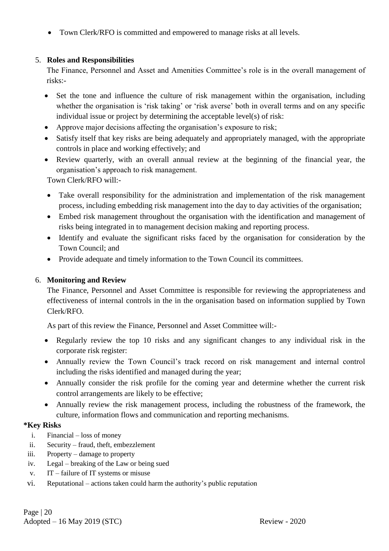• Town Clerk/RFO is committed and empowered to manage risks at all levels.

# 5. **Roles and Responsibilities**

The Finance, Personnel and Asset and Amenities Committee's role is in the overall management of risks:-

- Set the tone and influence the culture of risk management within the organisation, including whether the organisation is 'risk taking' or 'risk averse' both in overall terms and on any specific individual issue or project by determining the acceptable level(s) of risk:
- Approve major decisions affecting the organisation's exposure to risk;
- Satisfy itself that key risks are being adequately and appropriately managed, with the appropriate controls in place and working effectively; and
- Review quarterly, with an overall annual review at the beginning of the financial year, the organisation's approach to risk management.

Town Clerk/RFO will:-

- Take overall responsibility for the administration and implementation of the risk management process, including embedding risk management into the day to day activities of the organisation;
- Embed risk management throughout the organisation with the identification and management of risks being integrated in to management decision making and reporting process.
- Identify and evaluate the significant risks faced by the organisation for consideration by the Town Council; and
- Provide adequate and timely information to the Town Council its committees.

# 6. **Monitoring and Review**

The Finance, Personnel and Asset Committee is responsible for reviewing the appropriateness and effectiveness of internal controls in the in the organisation based on information supplied by Town Clerk/RFO.

As part of this review the Finance, Personnel and Asset Committee will:-

- Regularly review the top 10 risks and any significant changes to any individual risk in the corporate risk register:
- Annually review the Town Council's track record on risk management and internal control including the risks identified and managed during the year;
- Annually consider the risk profile for the coming year and determine whether the current risk control arrangements are likely to be effective;
- Annually review the risk management process, including the robustness of the framework, the culture, information flows and communication and reporting mechanisms.

# **\*Key Risks**

- i. Financial loss of money
- ii. Security fraud, theft, embezzlement
- iii. Property damage to property
- iv. Legal breaking of the Law or being sued
- v. IT failure of IT systems or misuse
- vi. Reputational actions taken could harm the authority's public reputation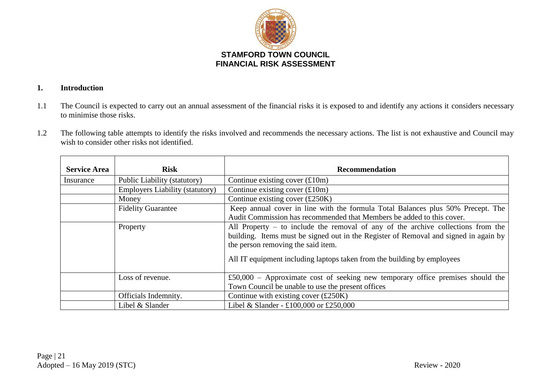

# **1. Introduction**

- 1.1 The Council is expected to carry out an annual assessment of the financial risks it is exposed to and identify any actions it considers necessary to minimise those risks.
- 1.2 The following table attempts to identify the risks involved and recommends the necessary actions. The list is not exhaustive and Council may wish to consider other risks not identified.

| <b>Service Area</b>                                                                                          | <b>Risk</b>                                                                                    | Recommendation                                                                       |  |  |  |  |
|--------------------------------------------------------------------------------------------------------------|------------------------------------------------------------------------------------------------|--------------------------------------------------------------------------------------|--|--|--|--|
| Insurance                                                                                                    | Public Liability (statutory)                                                                   | Continue existing cover $(\text{\pounds}10m)$                                        |  |  |  |  |
|                                                                                                              | <b>Employers Liability (statutory)</b>                                                         | Continue existing cover $(\text{\pounds}10m)$                                        |  |  |  |  |
| Continue existing cover $(\text{\pounds}250K)$<br>Money                                                      |                                                                                                |                                                                                      |  |  |  |  |
| Keep annual cover in line with the formula Total Balances plus 50% Precept. The<br><b>Fidelity Guarantee</b> |                                                                                                |                                                                                      |  |  |  |  |
|                                                                                                              | Audit Commission has recommended that Members be added to this cover.                          |                                                                                      |  |  |  |  |
|                                                                                                              | All Property $-$ to include the removal of any of the archive collections from the<br>Property |                                                                                      |  |  |  |  |
|                                                                                                              |                                                                                                | building. Items must be signed out in the Register of Removal and signed in again by |  |  |  |  |
|                                                                                                              |                                                                                                | the person removing the said item.                                                   |  |  |  |  |
|                                                                                                              |                                                                                                | All IT equipment including laptops taken from the building by employees              |  |  |  |  |
|                                                                                                              | Loss of revenue.                                                                               | $£50,000 - Approximate cost of seeking new temporary office premises should the$     |  |  |  |  |
|                                                                                                              |                                                                                                | Town Council be unable to use the present offices                                    |  |  |  |  |
|                                                                                                              | Officials Indemnity.                                                                           | Continue with existing cover $(\text{\pounds}250K)$                                  |  |  |  |  |
|                                                                                                              | Libel & Slander                                                                                | Libel & Slander - £100,000 or £250,000                                               |  |  |  |  |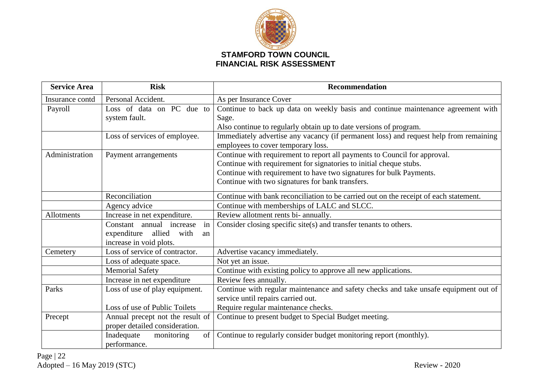

| <b>Service Area</b> | <b>Risk</b>                                 | <b>Recommendation</b>                                                                 |
|---------------------|---------------------------------------------|---------------------------------------------------------------------------------------|
| Insurance contd     | Personal Accident.                          | As per Insurance Cover                                                                |
| Payroll             | Loss of data on PC due to                   | Continue to back up data on weekly basis and continue maintenance agreement with      |
|                     | system fault.                               | Sage.                                                                                 |
|                     |                                             | Also continue to regularly obtain up to date versions of program.                     |
|                     | Loss of services of employee.               | Immediately advertise any vacancy (if permanent loss) and request help from remaining |
|                     |                                             | employees to cover temporary loss.                                                    |
| Administration      | Payment arrangements                        | Continue with requirement to report all payments to Council for approval.             |
|                     |                                             | Continue with requirement for signatories to initial cheque stubs.                    |
|                     |                                             | Continue with requirement to have two signatures for bulk Payments.                   |
|                     |                                             | Continue with two signatures for bank transfers.                                      |
|                     | Reconciliation                              | Continue with bank reconciliation to be carried out on the receipt of each statement. |
|                     | Agency advice                               | Continue with memberships of LALC and SLCC.                                           |
| Allotments          | Increase in net expenditure.                | Review allotment rents bi- annually.                                                  |
|                     | in<br>Constant annual increase              | Consider closing specific site(s) and transfer tenants to others.                     |
|                     | allied<br>expenditure<br>with<br>an         |                                                                                       |
|                     | increase in void plots.                     |                                                                                       |
| Cemetery            | Loss of service of contractor.              | Advertise vacancy immediately.                                                        |
|                     | Loss of adequate space.                     | Not yet an issue.                                                                     |
|                     | <b>Memorial Safety</b>                      | Continue with existing policy to approve all new applications.                        |
|                     | Increase in net expenditure                 | Review fees annually.                                                                 |
| Parks               | Loss of use of play equipment.              | Continue with regular maintenance and safety checks and take unsafe equipment out of  |
|                     |                                             | service until repairs carried out.                                                    |
|                     | Loss of use of Public Toilets               | Require regular maintenance checks.                                                   |
| Precept             | Annual precept not the result of            | Continue to present budget to Special Budget meeting.                                 |
|                     | proper detailed consideration.              |                                                                                       |
|                     | of <sub>1</sub><br>Inadequate<br>monitoring | Continue to regularly consider budget monitoring report (monthly).                    |
|                     | performance.                                |                                                                                       |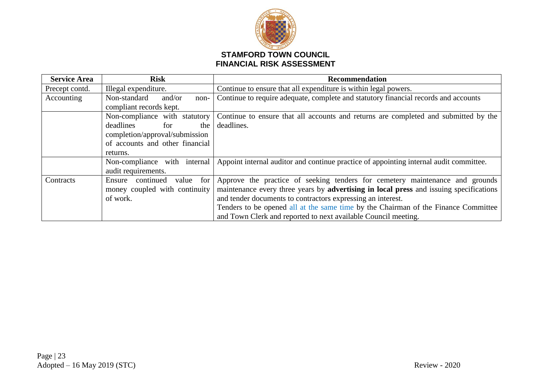

| <b>Service Area</b> | <b>Risk</b>                      | <b>Recommendation</b>                                                                  |
|---------------------|----------------------------------|----------------------------------------------------------------------------------------|
| Precept contd.      | Illegal expenditure.             | Continue to ensure that all expenditure is within legal powers.                        |
| Accounting          | Non-standard<br>and/or<br>non-   | Continue to require adequate, complete and statutory financial records and accounts    |
|                     | compliant records kept.          |                                                                                        |
|                     | Non-compliance with statutory    | Continue to ensure that all accounts and returns are completed and submitted by the    |
|                     | deadlines<br>for<br>the          | deadlines.                                                                             |
|                     | completion/approval/submission   |                                                                                        |
|                     | of accounts and other financial  |                                                                                        |
|                     | returns.                         |                                                                                        |
|                     | Non-compliance with internal     | Appoint internal auditor and continue practice of appointing internal audit committee. |
|                     | audit requirements.              |                                                                                        |
| Contracts           | value for<br>continued<br>Ensure | Approve the practice of seeking tenders for cemetery maintenance and grounds           |
|                     | money coupled with continuity    | maintenance every three years by advertising in local press and issuing specifications |
|                     | of work.                         | and tender documents to contractors expressing an interest.                            |
|                     |                                  | Tenders to be opened all at the same time by the Chairman of the Finance Committee     |
|                     |                                  | and Town Clerk and reported to next available Council meeting.                         |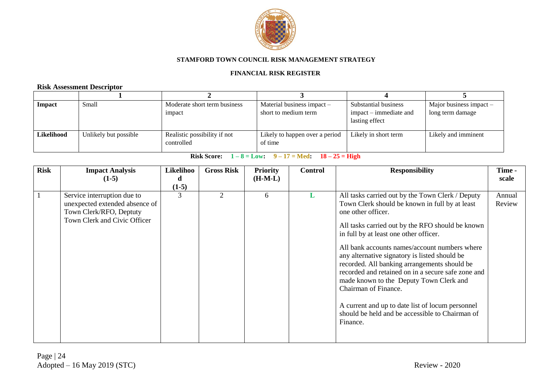

#### **FINANCIAL RISK REGISTER**

# **Risk Assessment Descriptor**

| <b>Impact</b> | Small                 | Moderate short term business<br>impact     | Material business impact $-$<br>short to medium term | Substantial business<br>$impat - immediate$ and<br>lasting effect | Major business impact $-$<br>long term damage |
|---------------|-----------------------|--------------------------------------------|------------------------------------------------------|-------------------------------------------------------------------|-----------------------------------------------|
| Likelihood    | Unlikely but possible | Realistic possibility if not<br>controlled | Likely to happen over a period<br>of time            | Likely in short term                                              | Likely and imminent                           |

| <b>Risk</b> | <b>Impact Analysis</b><br>$(1-5)$                                                                                        | Likelihoo<br>d<br>$(1-5)$ | <b>Gross Risk</b> | <b>Priority</b><br>$(H-M-L)$ | <b>Control</b> | <b>Responsibility</b>                                                                                                                                                                                                                                                                                                                                                                                                                                                                                                                                                                                                | Time -<br>scale  |
|-------------|--------------------------------------------------------------------------------------------------------------------------|---------------------------|-------------------|------------------------------|----------------|----------------------------------------------------------------------------------------------------------------------------------------------------------------------------------------------------------------------------------------------------------------------------------------------------------------------------------------------------------------------------------------------------------------------------------------------------------------------------------------------------------------------------------------------------------------------------------------------------------------------|------------------|
|             | Service interruption due to<br>unexpected extended absence of<br>Town Clerk/RFO, Deptuty<br>Town Clerk and Civic Officer | 3                         | $\overline{2}$    | 6                            | L              | All tasks carried out by the Town Clerk / Deputy<br>Town Clerk should be known in full by at least<br>one other officer.<br>All tasks carried out by the RFO should be known<br>in full by at least one other officer.<br>All bank accounts names/account numbers where<br>any alternative signatory is listed should be<br>recorded. All banking arrangements should be<br>recorded and retained on in a secure safe zone and<br>made known to the Deputy Town Clerk and<br>Chairman of Finance.<br>A current and up to date list of locum personnel<br>should be held and be accessible to Chairman of<br>Finance. | Annual<br>Review |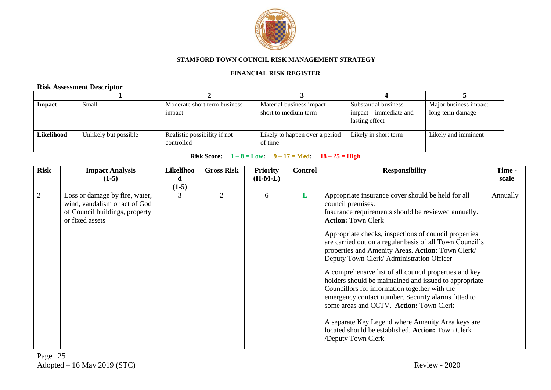

#### **FINANCIAL RISK REGISTER**

# **Risk Assessment Descriptor**

| <b>Impact</b> | Small                 | Moderate short term business<br>impact     | Material business impact $-$<br>short to medium term | Substantial business<br>$impat - immediate$ and<br>lasting effect | Major business impact $-$<br>long term damage |
|---------------|-----------------------|--------------------------------------------|------------------------------------------------------|-------------------------------------------------------------------|-----------------------------------------------|
| Likelihood    | Unlikely but possible | Realistic possibility if not<br>controlled | Likely to happen over a period<br>of time            | Likely in short term                                              | Likely and imminent                           |

| <b>Risk</b>    | <b>Impact Analysis</b><br>$(1-5)$                                                                                    | Likelihoo<br>d<br>$(1-5)$ | <b>Gross Risk</b>           | <b>Priority</b><br>$(H-M-L)$ | <b>Control</b> | <b>Responsibility</b>                                                                                                                                                                                                                                                                                                                                                                                                                                                                                                                                                                                                                                                                                                                                                                     | Time -<br>scale |
|----------------|----------------------------------------------------------------------------------------------------------------------|---------------------------|-----------------------------|------------------------------|----------------|-------------------------------------------------------------------------------------------------------------------------------------------------------------------------------------------------------------------------------------------------------------------------------------------------------------------------------------------------------------------------------------------------------------------------------------------------------------------------------------------------------------------------------------------------------------------------------------------------------------------------------------------------------------------------------------------------------------------------------------------------------------------------------------------|-----------------|
| $\overline{2}$ | Loss or damage by fire, water,<br>wind, vandalism or act of God<br>of Council buildings, property<br>or fixed assets | 3                         | $\mathcal{D}_{\mathcal{L}}$ | 6                            | L              | Appropriate insurance cover should be held for all<br>council premises.<br>Insurance requirements should be reviewed annually.<br><b>Action: Town Clerk</b><br>Appropriate checks, inspections of council properties<br>are carried out on a regular basis of all Town Council's<br>properties and Amenity Areas. Action: Town Clerk/<br>Deputy Town Clerk/ Administration Officer<br>A comprehensive list of all council properties and key<br>holders should be maintained and issued to appropriate<br>Councillors for information together with the<br>emergency contact number. Security alarms fitted to<br>some areas and CCTV. Action: Town Clerk<br>A separate Key Legend where Amenity Area keys are<br>located should be established. Action: Town Clerk<br>/Deputy Town Clerk | Annually        |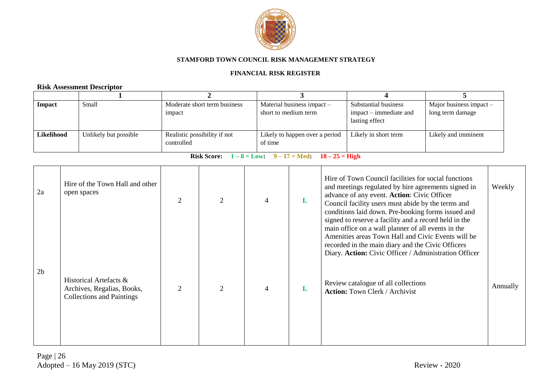

#### **FINANCIAL RISK REGISTER**

# **Risk Assessment Descriptor**

| Impact     | Small                 | Moderate short term business<br>impact     | Material business impact $-$<br>short to medium term | Substantial business<br>impact – immediate and<br>lasting effect | Major business impact $-$<br>long term damage |
|------------|-----------------------|--------------------------------------------|------------------------------------------------------|------------------------------------------------------------------|-----------------------------------------------|
| Likelihood | Unlikely but possible | Realistic possibility if not<br>controlled | Likely to happen over a period<br>of time            | Likely in short term                                             | Likely and imminent                           |

| 2a             | Hire of the Town Hall and other<br>open spaces                                           | 2              | $\mathcal{D}_{\mathcal{A}}$ | L | Hire of Town Council facilities for social functions<br>and meetings regulated by hire agreements signed in<br>advance of any event. Action: Civic Officer<br>Council facility users must abide by the terms and<br>conditions laid down. Pre-booking forms issued and<br>signed to reserve a facility and a record held in the<br>main office on a wall planner of all events in the<br>Amenities areas Town Hall and Civic Events will be<br>recorded in the main diary and the Civic Officers<br>Diary. Action: Civic Officer / Administration Officer | Weekly   |
|----------------|------------------------------------------------------------------------------------------|----------------|-----------------------------|---|-----------------------------------------------------------------------------------------------------------------------------------------------------------------------------------------------------------------------------------------------------------------------------------------------------------------------------------------------------------------------------------------------------------------------------------------------------------------------------------------------------------------------------------------------------------|----------|
| 2 <sub>b</sub> | Historical Artefacts &<br>Archives, Regalias, Books,<br><b>Collections and Paintings</b> | $\overline{2}$ |                             | L | Review catalogue of all collections<br><b>Action:</b> Town Clerk / Archivist                                                                                                                                                                                                                                                                                                                                                                                                                                                                              | Annually |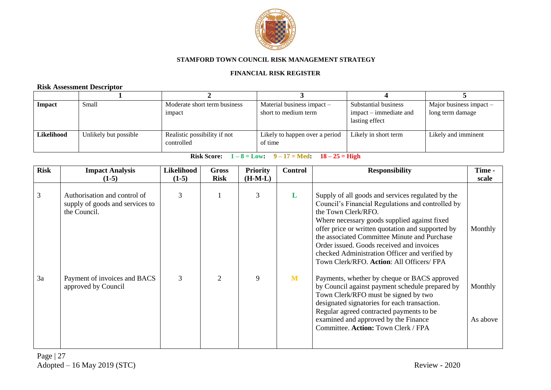

#### **FINANCIAL RISK REGISTER**

# **Risk Assessment Descriptor**

| <b>Impact</b> | Small                 | Moderate short term business<br>impact     | Material business impact –<br>short to medium term | Substantial business<br>$impact - immediate$ and<br>lasting effect | Major business impact $-$<br>long term damage |
|---------------|-----------------------|--------------------------------------------|----------------------------------------------------|--------------------------------------------------------------------|-----------------------------------------------|
| Likelihood    | Unlikely but possible | Realistic possibility if not<br>controlled | Likely to happen over a period<br>of time          | Likely in short term                                               | Likely and imminent                           |

| <b>Risk</b> | <b>Impact Analysis</b><br>$(1-5)$                                               | Likelihood<br>$(1-5)$ | Gross<br><b>Risk</b>        | <b>Priority</b><br>$(H-M-L)$ | <b>Control</b> | <b>Responsibility</b>                                                                                                                                                                                                                                                                                                                                                                                                          | Time -<br>scale     |
|-------------|---------------------------------------------------------------------------------|-----------------------|-----------------------------|------------------------------|----------------|--------------------------------------------------------------------------------------------------------------------------------------------------------------------------------------------------------------------------------------------------------------------------------------------------------------------------------------------------------------------------------------------------------------------------------|---------------------|
| 3           | Authorisation and control of<br>supply of goods and services to<br>the Council. | 3                     |                             | 3                            | L              | Supply of all goods and services regulated by the<br>Council's Financial Regulations and controlled by<br>the Town Clerk/RFO.<br>Where necessary goods supplied against fixed<br>offer price or written quotation and supported by<br>the associated Committee Minute and Purchase<br>Order issued. Goods received and invoices<br>checked Administration Officer and verified by<br>Town Clerk/RFO. Action: All Officers/ FPA | Monthly             |
| 3a          | Payment of invoices and BACS<br>approved by Council                             | 3                     | $\mathcal{D}_{\mathcal{L}}$ | 9                            | M              | Payments, whether by cheque or BACS approved<br>by Council against payment schedule prepared by<br>Town Clerk/RFO must be signed by two<br>designated signatories for each transaction.<br>Regular agreed contracted payments to be<br>examined and approved by the Finance<br>Committee. Action: Town Clerk / FPA                                                                                                             | Monthly<br>As above |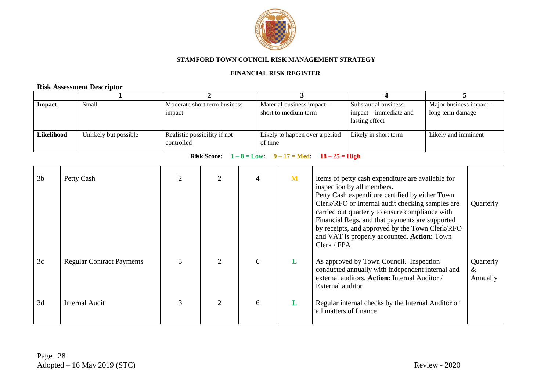

#### **FINANCIAL RISK REGISTER**

# **Risk Assessment Descriptor**

| Impact     | Small                 | Moderate short term business<br>impact     | Material business impact -<br>short to medium term | Substantial business<br>$impact - immediate$ and<br>lasting effect | Major business impact $-$<br>long term damage |
|------------|-----------------------|--------------------------------------------|----------------------------------------------------|--------------------------------------------------------------------|-----------------------------------------------|
| Likelihood | Unlikely but possible | Realistic possibility if not<br>controlled | Likely to happen over a period<br>of time          | Likely in short term                                               | Likely and imminent                           |

| 3 <sub>b</sub> | Petty Cash                       |               |   | M | Items of petty cash expenditure are available for<br>inspection by all members.<br>Petty Cash expenditure certified by either Town<br>Clerk/RFO or Internal audit checking samples are<br>carried out quarterly to ensure compliance with<br>Financial Regs. and that payments are supported<br>by receipts, and approved by the Town Clerk/RFO<br>and VAT is properly accounted. Action: Town<br>Clerk / FPA | Quarterly                  |
|----------------|----------------------------------|---------------|---|---|---------------------------------------------------------------------------------------------------------------------------------------------------------------------------------------------------------------------------------------------------------------------------------------------------------------------------------------------------------------------------------------------------------------|----------------------------|
| 3c             | <b>Regular Contract Payments</b> |               | 6 | L | As approved by Town Council. Inspection<br>conducted annually with independent internal and<br>external auditors. Action: Internal Auditor /<br>External auditor                                                                                                                                                                                                                                              | Quarterly<br>&<br>Annually |
| 3d             | Internal Audit                   | $\mathcal{D}$ | 6 | L | Regular internal checks by the Internal Auditor on<br>all matters of finance                                                                                                                                                                                                                                                                                                                                  |                            |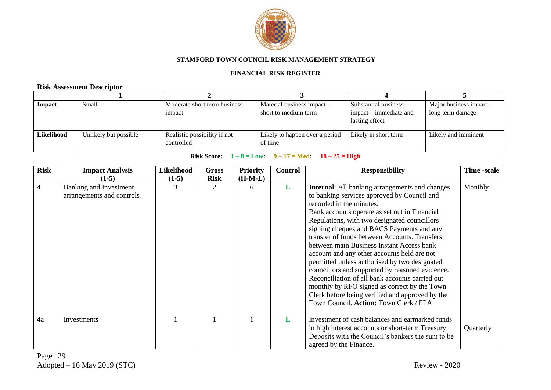

#### **FINANCIAL RISK REGISTER**

# **Risk Assessment Descriptor**

| <b>Impact</b> | Small                 | Moderate short term business<br>impact     | Material business impact $-$<br>short to medium term | Substantial business<br>$impact - immediate$ and<br>lasting effect | Major business impact $-$<br>long term damage |
|---------------|-----------------------|--------------------------------------------|------------------------------------------------------|--------------------------------------------------------------------|-----------------------------------------------|
| Likelihood    | Unlikely but possible | Realistic possibility if not<br>controlled | Likely to happen over a period<br>of time            | Likely in short term                                               | Likely and imminent                           |

| <b>Risk</b> | <b>Impact Analysis</b>                              | <b>Likelihood</b> | <b>Gross</b> | <b>Priority</b> | <b>Control</b> | <b>Responsibility</b>                                                                                                                                                                                                                                                                                                                                                                                                                                                                                                                                                                                                                                                                                                           | Time -scale |
|-------------|-----------------------------------------------------|-------------------|--------------|-----------------|----------------|---------------------------------------------------------------------------------------------------------------------------------------------------------------------------------------------------------------------------------------------------------------------------------------------------------------------------------------------------------------------------------------------------------------------------------------------------------------------------------------------------------------------------------------------------------------------------------------------------------------------------------------------------------------------------------------------------------------------------------|-------------|
|             | $(1-5)$                                             | $(1-5)$           | <b>Risk</b>  | $(H-M-L)$       |                |                                                                                                                                                                                                                                                                                                                                                                                                                                                                                                                                                                                                                                                                                                                                 |             |
| 4           | Banking and Investment<br>arrangements and controls | 3                 | 2            | 6               | L              | <b>Internal:</b> All banking arrangements and changes<br>to banking services approved by Council and<br>recorded in the minutes.<br>Bank accounts operate as set out in Financial<br>Regulations, with two designated councillors<br>signing cheques and BACS Payments and any<br>transfer of funds between Accounts. Transfers<br>between main Business Instant Access bank<br>account and any other accounts held are not<br>permitted unless authorised by two designated<br>councillors and supported by reasoned evidence.<br>Reconciliation of all bank accounts carried out<br>monthly by RFO signed as correct by the Town<br>Clerk before being verified and approved by the<br>Town Council. Action: Town Clerk / FPA | Monthly     |
| 4a          | Investments                                         |                   |              |                 | L              | Investment of cash balances and earmarked funds<br>in high interest accounts or short-term Treasury<br>Deposits with the Council's bankers the sum to be<br>agreed by the Finance.                                                                                                                                                                                                                                                                                                                                                                                                                                                                                                                                              | Quarterly   |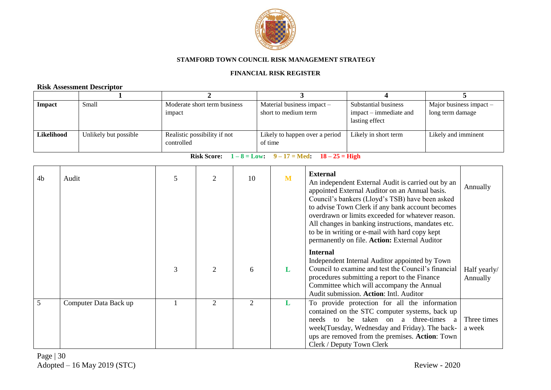

#### **FINANCIAL RISK REGISTER**

# **Risk Assessment Descriptor**

| <b>Impact</b> | Small                 | Moderate short term business<br>impact     | Material business impact –<br>short to medium term | Substantial business<br>$impact - immediate$ and<br>lasting effect | Major business impact $-$<br>long term damage |
|---------------|-----------------------|--------------------------------------------|----------------------------------------------------|--------------------------------------------------------------------|-----------------------------------------------|
| Likelihood    | Unlikely but possible | Realistic possibility if not<br>controlled | Likely to happen over a period<br>of time          | Likely in short term                                               | Likely and imminent                           |

| 4 <sub>b</sub> | Audit                 | 5 | 2                           | 10 | M | <b>External</b><br>An independent External Audit is carried out by an<br>appointed External Auditor on an Annual basis.<br>Council's bankers (Lloyd's TSB) have been asked<br>to advise Town Clerk if any bank account becomes<br>overdrawn or limits exceeded for whatever reason.<br>All changes in banking instructions, mandates etc.<br>to be in writing or e-mail with hard copy kept<br>permanently on file. Action: External Auditor | Annually                 |
|----------------|-----------------------|---|-----------------------------|----|---|----------------------------------------------------------------------------------------------------------------------------------------------------------------------------------------------------------------------------------------------------------------------------------------------------------------------------------------------------------------------------------------------------------------------------------------------|--------------------------|
|                |                       | 3 | $\mathcal{D}_{\mathcal{L}}$ | 6  | L | <b>Internal</b><br>Independent Internal Auditor appointed by Town<br>Council to examine and test the Council's financial<br>procedures submitting a report to the Finance<br>Committee which will accompany the Annual<br>Audit submission. Action: Intl. Auditor                                                                                                                                                                            | Half yearly/<br>Annually |
| 5              | Computer Data Back up |   | $\mathcal{D}_{\mathcal{L}}$ | 2  | L | To provide protection for all the information<br>contained on the STC computer systems, back up<br>taken on a three-times a<br>needs to<br>be<br>week (Tuesday, Wednesday and Friday). The back-<br>ups are removed from the premises. Action: Town<br>Clerk / Deputy Town Clerk                                                                                                                                                             | Three times<br>a week    |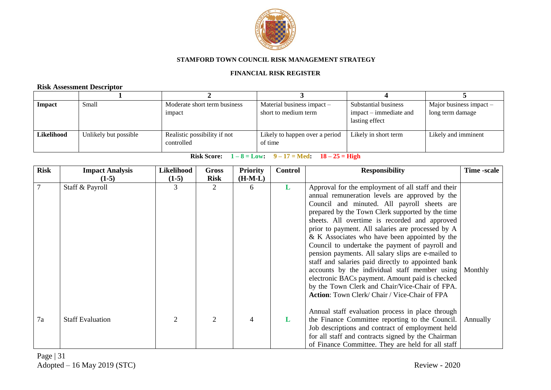

#### **FINANCIAL RISK REGISTER**

# **Risk Assessment Descriptor**

| <b>Impact</b> | Small                 | Moderate short term business<br>impact     | Material business impact $-$<br>short to medium term | Substantial business<br>$impact - immediate$ and<br>lasting effect | Major business impact $-$<br>long term damage |
|---------------|-----------------------|--------------------------------------------|------------------------------------------------------|--------------------------------------------------------------------|-----------------------------------------------|
| Likelihood    | Unlikely but possible | Realistic possibility if not<br>controlled | Likely to happen over a period<br>of time            | Likely in short term                                               | Likely and imminent                           |

| <b>Risk</b>    | <b>Impact Analysis</b>  | Likelihood     | <b>Gross</b>                | <b>Priority</b> | <b>Control</b> | <b>Responsibility</b>                               | Time -scale |
|----------------|-------------------------|----------------|-----------------------------|-----------------|----------------|-----------------------------------------------------|-------------|
|                | $(1-5)$                 | $(1-5)$        | <b>Risk</b>                 | $(H-M-L)$       |                |                                                     |             |
| $\overline{7}$ | Staff & Payroll         | 3              | $\mathcal{D}_{\mathcal{L}}$ | 6               | L              | Approval for the employment of all staff and their  |             |
|                |                         |                |                             |                 |                | annual remuneration levels are approved by the      |             |
|                |                         |                |                             |                 |                | Council and minuted. All payroll sheets are         |             |
|                |                         |                |                             |                 |                | prepared by the Town Clerk supported by the time    |             |
|                |                         |                |                             |                 |                | sheets. All overtime is recorded and approved       |             |
|                |                         |                |                             |                 |                | prior to payment. All salaries are processed by A   |             |
|                |                         |                |                             |                 |                | $\&$ K Associates who have been appointed by the    |             |
|                |                         |                |                             |                 |                | Council to undertake the payment of payroll and     |             |
|                |                         |                |                             |                 |                | pension payments. All salary slips are e-mailed to  |             |
|                |                         |                |                             |                 |                | staff and salaries paid directly to appointed bank  |             |
|                |                         |                |                             |                 |                | accounts by the individual staff member using       | Monthly     |
|                |                         |                |                             |                 |                | electronic BACs payment. Amount paid is checked     |             |
|                |                         |                |                             |                 |                | by the Town Clerk and Chair/Vice-Chair of FPA.      |             |
|                |                         |                |                             |                 |                | <b>Action:</b> Town Clerk/Chair / Vice-Chair of FPA |             |
|                |                         |                |                             |                 |                |                                                     |             |
|                |                         |                |                             |                 |                | Annual staff evaluation process in place through    |             |
| 7a             | <b>Staff Evaluation</b> | $\overline{2}$ | 2                           | $\overline{4}$  | L              | the Finance Committee reporting to the Council.     | Annually    |
|                |                         |                |                             |                 |                | Job descriptions and contract of employment held    |             |
|                |                         |                |                             |                 |                | for all staff and contracts signed by the Chairman  |             |
|                |                         |                |                             |                 |                | of Finance Committee. They are held for all staff   |             |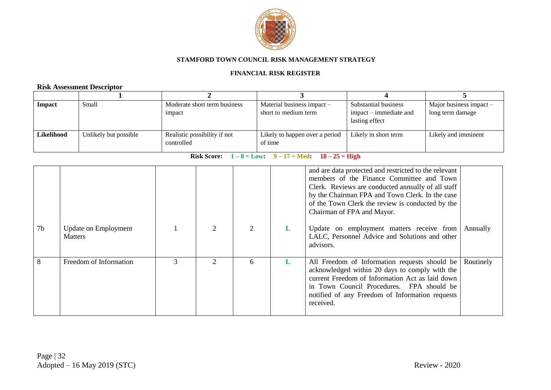

#### **FINANCIAL RISK REGISTER**

# **Risk Assessment Descriptor**

| <b>Impact</b> | Small                 | Moderate short term business<br>impact     | Material business impact -<br>short to medium term | Substantial business<br>$impact - immediate$ and<br>lasting effect | Major business impact $-$<br>long term damage |
|---------------|-----------------------|--------------------------------------------|----------------------------------------------------|--------------------------------------------------------------------|-----------------------------------------------|
| Likelihood    | Unlikely but possible | Realistic possibility if not<br>controlled | Likely to happen over a period<br>of time          | Likely in short term                                               | Likely and imminent                           |

| 7 <sub>b</sub> | <b>Update on Employment</b><br><b>Matters</b> |               | 2 | 2 | L | and are data protected and restricted to the relevant<br>members of the Finance Committee and Town<br>Clerk. Reviews are conducted annually of all staff<br>by the Chairman FPA and Town Clerk. In the case<br>of the Town Clerk the review is conducted by the<br>Chairman of FPA and Mayor.<br>Update on employment matters receive from<br>LALC, Personnel Advice and Solutions and other<br>advisors. | Annually  |
|----------------|-----------------------------------------------|---------------|---|---|---|-----------------------------------------------------------------------------------------------------------------------------------------------------------------------------------------------------------------------------------------------------------------------------------------------------------------------------------------------------------------------------------------------------------|-----------|
| 8              | Freedom of Information                        | $\mathcal{R}$ |   | 6 | L | All Freedom of Information requests should be<br>acknowledged within 20 days to comply with the<br>current Freedom of Information Act as laid down<br>in Town Council Procedures. FPA should be<br>notified of any Freedom of Information requests<br>received.                                                                                                                                           | Routinely |